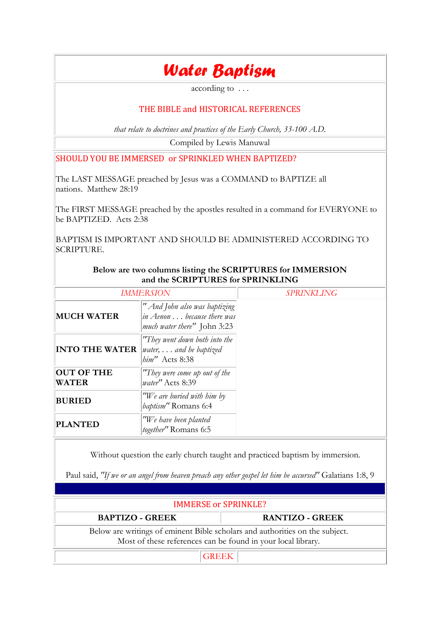## *Water Baptism*

according to . . .

#### THE BIBLE and HISTORICAL REFERENCES

*that relate to doctrines and practices of the Early Church, 33-100 A.D.*

Compiled by Lewis Manuwal

SHOULD YOU BE IMMERSED or SPRINKLED WHEN BAPTIZED?

The LAST MESSAGE preached by Jesus was a COMMAND to BAPTIZE all nations. Matthew 28:19

The FIRST MESSAGE preached by the apostles resulted in a command for EVERYONE to be BAPTIZED. Acts 2:38

BAPTISM IS IMPORTANT AND SHOULD BE ADMINISTERED ACCORDING TO SCRIPTURE.

**Below are two columns listing the SCRIPTURES for IMMERSION**

| and the SCRIPTURES for SPRINKLING |                                                                                                    |                   |
|-----------------------------------|----------------------------------------------------------------------------------------------------|-------------------|
| <b>IMMERSION</b>                  |                                                                                                    | <b>SPRINKLING</b> |
| <b>MUCH WATER</b>                 | " And John also was baptizing<br>in Aenon because there was<br><i>much water there</i> " John 3:23 |                   |
| <b>INTO THE WATER</b>             | "They went down both into the<br>water, $\ldots$ and he baptized<br>him" Acts 8:38                 |                   |
| <b>OUT OF THE</b><br><b>WATER</b> | "They were come up out of the<br>water" Acts 8:39                                                  |                   |
| <b>BURIED</b>                     | "We are buried with him by<br>baptism" Romans 6:4                                                  |                   |
| <b>PLANTED</b>                    | "We have been planted<br>together" Romans 6:5                                                      |                   |

Without question the early church taught and practiced baptism by immersion.

Paul said, *"If we or an angel from heaven preach any other gospel let him be accursed"* Galatians 1:8, 9

| <b>IMMERSE or SPRINKLE?</b>                                                                                                                  |                        |  |
|----------------------------------------------------------------------------------------------------------------------------------------------|------------------------|--|
| <b>BAPTIZO - GREEK</b>                                                                                                                       | <b>RANTIZO - GREEK</b> |  |
| Below are writings of eminent Bible scholars and authorities on the subject.<br>Most of these references can be found in your local library. |                        |  |
| <b>GREEK</b>                                                                                                                                 |                        |  |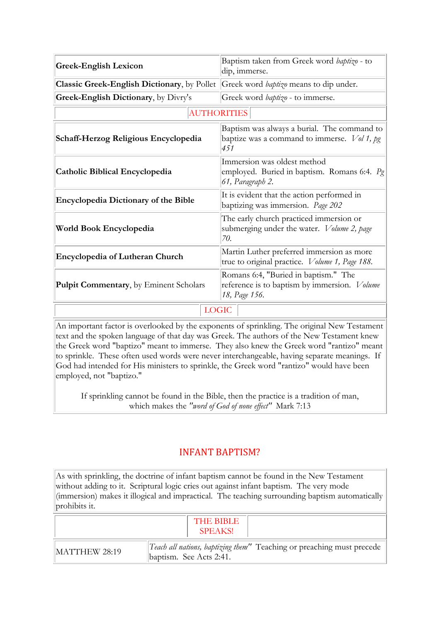| <b>Greek-English Lexicon</b>                                                                     | Baptism taken from Greek word baptizo - to<br>dip, immerse.                                                  |  |
|--------------------------------------------------------------------------------------------------|--------------------------------------------------------------------------------------------------------------|--|
| <b>Classic Greek-English Dictionary,</b> by Pollet Greek word <i>baptizo</i> means to dip under. |                                                                                                              |  |
| Greek-English Dictionary, by Divry's                                                             | Greek word baptizo - to immerse.                                                                             |  |
| <b>AUTHORITIES</b>                                                                               |                                                                                                              |  |
| Schaff-Herzog Religious Encyclopedia                                                             | Baptism was always a burial. The command to<br>baptize was a command to immerse. $Vol 1$ , pg<br>451         |  |
| <b>Catholic Biblical Encyclopedia</b>                                                            | Immersion was oldest method<br>employed. Buried in baptism. Romans 6:4. $P_g$<br>61, Paragraph 2.            |  |
| <b>Encyclopedia Dictionary of the Bible</b>                                                      | It is evident that the action performed in<br>baptizing was immersion. Page 202                              |  |
| World Book Encyclopedia                                                                          | The early church practiced immersion or<br>submerging under the water. Volume 2, page<br>70.                 |  |
| <b>Encyclopedia of Lutheran Church</b>                                                           | Martin Luther preferred immersion as more<br>true to original practice. <i>Volume 1</i> , Page 188.          |  |
| <b>Pulpit Commentary, by Eminent Scholars</b>                                                    | Romans 6:4, "Buried in baptism." The<br>reference is to baptism by immersion. <i>Volume</i><br>18, Page 156. |  |
| <b>LOGIC</b>                                                                                     |                                                                                                              |  |

An important factor is overlooked by the exponents of sprinkling. The original New Testament text and the spoken language of that day was Greek. The authors of the New Testament knew the Greek word "baptizo" meant to immerse. They also knew the Greek word "rantizo" meant to sprinkle. These often used words were never interchangeable, having separate meanings. If God had intended for His ministers to sprinkle, the Greek word "rantizo" would have been employed, not "baptizo."

If sprinkling cannot be found in the Bible, then the practice is a tradition of man, which makes the *"word of God of none effect"* Mark 7:13

### INFANT BAPTISM?

As with sprinkling, the doctrine of infant baptism cannot be found in the New Testament without adding to it. Scriptural logic cries out against infant baptism. The very mode (immersion) makes it illogical and impractical. The teaching surrounding baptism automatically prohibits it.

|               | THE BIBLE<br><b>SPEAKS!</b>                                                                      |
|---------------|--------------------------------------------------------------------------------------------------|
| MATTHEW 28:19 | Teach all nations, baptizing them" Teaching or preaching must precede<br>baptism. See Acts 2:41. |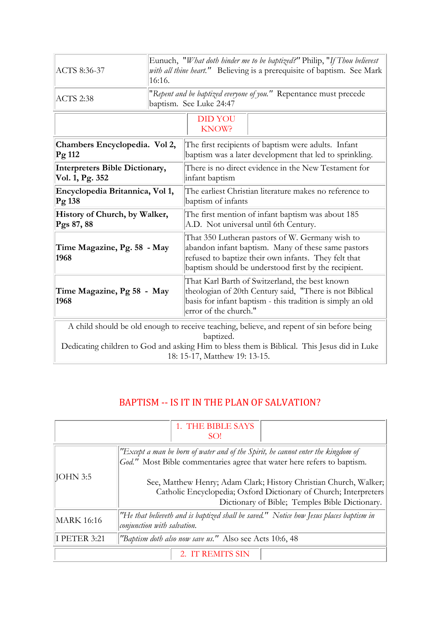| ACTS 8:36-37                                                                                                                                                                                                                           | Eunuch, "What doth hinder me to be baptized?" Philip, "If Thou believest<br>with all thine heart." Believing is a prerequisite of baptism. See Mark<br>16:16. |                                                                                                                                                                                                                       |  |
|----------------------------------------------------------------------------------------------------------------------------------------------------------------------------------------------------------------------------------------|---------------------------------------------------------------------------------------------------------------------------------------------------------------|-----------------------------------------------------------------------------------------------------------------------------------------------------------------------------------------------------------------------|--|
| <b>ACTS 2:38</b>                                                                                                                                                                                                                       | "Repent and be baptized everyone of you." Repentance must precede<br>baptism. See Luke 24:47                                                                  |                                                                                                                                                                                                                       |  |
|                                                                                                                                                                                                                                        |                                                                                                                                                               | <b>DID YOU</b><br>KNOW?                                                                                                                                                                                               |  |
| Chambers Encyclopedia. Vol 2,<br>Pg 112                                                                                                                                                                                                |                                                                                                                                                               | The first recipients of baptism were adults. Infant<br>baptism was a later development that led to sprinkling.                                                                                                        |  |
| <b>Interpreters Bible Dictionary,</b><br>Vol. 1, Pg. 352                                                                                                                                                                               |                                                                                                                                                               | There is no direct evidence in the New Testament for<br>infant baptism                                                                                                                                                |  |
| Encyclopedia Britannica, Vol 1,<br>Pg 138                                                                                                                                                                                              |                                                                                                                                                               | The earliest Christian literature makes no reference to<br>baptism of infants                                                                                                                                         |  |
| History of Church, by Walker,<br>Pgs 87, 88                                                                                                                                                                                            |                                                                                                                                                               | The first mention of infant baptism was about 185<br>A.D. Not universal until 6th Century.                                                                                                                            |  |
| Time Magazine, Pg. 58 - May<br>1968                                                                                                                                                                                                    |                                                                                                                                                               | That 350 Lutheran pastors of W. Germany wish to<br>abandon infant baptism. Many of these same pastors<br>refused to baptize their own infants. They felt that<br>baptism should be understood first by the recipient. |  |
| Time Magazine, Pg 58 - May<br>1968                                                                                                                                                                                                     |                                                                                                                                                               | That Karl Barth of Switzerland, the best known<br>theologian of 20th Century said, "There is not Biblical<br>basis for infant baptism - this tradition is simply an old<br>error of the church."                      |  |
| A child should be old enough to receive teaching, believe, and repent of sin before being<br>baptized.<br>Dedicating children to God and asking Him to bless them is Biblical. This Jesus did in Luke<br>18: 15-17, Matthew 19: 13-15. |                                                                                                                                                               |                                                                                                                                                                                                                       |  |

## BAPTISM -- IS IT IN THE PLAN OF SALVATION?

|              | 1. THE BIBLE SAYS<br>SO!                                                                                                                                                                |  |  |
|--------------|-----------------------------------------------------------------------------------------------------------------------------------------------------------------------------------------|--|--|
|              | "Except a man be born of water and of the Spirit, he cannot enter the kingdom of<br>God." Most Bible commentaries agree that water here refers to baptism.                              |  |  |
| JOHN 3:5     | See, Matthew Henry; Adam Clark; History Christian Church, Walker;<br>Catholic Encyclopedia; Oxford Dictionary of Church; Interpreters<br>Dictionary of Bible; Temples Bible Dictionary. |  |  |
| MARK 16:16   | "He that believeth and is baptized shall be saved." Notice how Jesus places baptism in<br>conjunction with salvation.                                                                   |  |  |
| I PETER 3:21 | "Baptism doth also now save us." Also see Acts 10:6, 48                                                                                                                                 |  |  |
|              | 2. IT REMITS SIN                                                                                                                                                                        |  |  |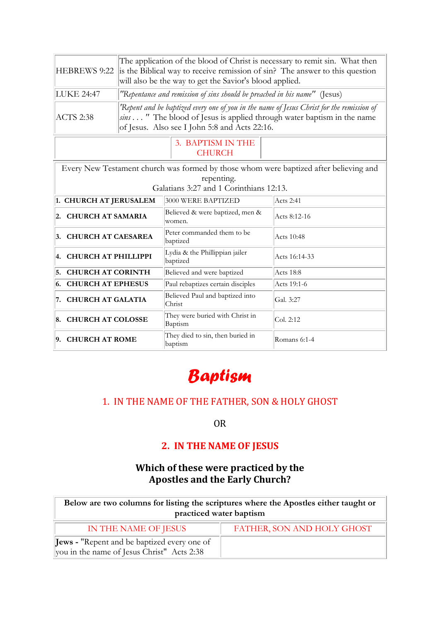| HEBREWS 9:22                                                                                                                                   | The application of the blood of Christ is necessary to remit sin. What then<br>is the Biblical way to receive remission of sin? The answer to this question<br>will also be the way to get the Savior's blood applied. |                                             |              |
|------------------------------------------------------------------------------------------------------------------------------------------------|------------------------------------------------------------------------------------------------------------------------------------------------------------------------------------------------------------------------|---------------------------------------------|--------------|
| <b>LUKE 24:47</b>                                                                                                                              | "Repentance and remission of sins should be preached in his name" (Jesus)                                                                                                                                              |                                             |              |
| <b>ACTS 2:38</b>                                                                                                                               | 'Repent and be baptized every one of you in the name of Jesus Christ for the remission of<br>sins " The blood of Jesus is applied through water baptism in the name<br>of Jesus. Also see I John 5:8 and Acts 22:16.   |                                             |              |
| 3. BAPTISM IN THE<br><b>CHURCH</b>                                                                                                             |                                                                                                                                                                                                                        |                                             |              |
| Every New Testament church was formed by those whom were baptized after believing and<br>repenting.<br>Galatians 3:27 and 1 Corinthians 12:13. |                                                                                                                                                                                                                        |                                             |              |
| 1. CHURCH AT JERUSALEM<br>Acts 2:41<br>3000 WERE BAPTIZED                                                                                      |                                                                                                                                                                                                                        |                                             |              |
| 2. CHURCH AT SAMARIA                                                                                                                           |                                                                                                                                                                                                                        | Believed & were baptized, men &<br>women.   | Acts 8:12-16 |
| 3. CHURCH AT CAESAREA                                                                                                                          |                                                                                                                                                                                                                        | Peter commanded them to be<br>baptized      | Acts 10:48   |
| Lydia & the Phillippian jailer<br><b>CHURCH AT PHILLIPPI</b><br>4.<br>baptized                                                                 |                                                                                                                                                                                                                        | Acts 16:14-33                               |              |
| <b>CHURCH AT CORINTH</b><br>5.                                                                                                                 |                                                                                                                                                                                                                        | Believed and were baptized                  | Acts 18:8    |
| <b>CHURCH AT EPHESUS</b><br>Paul rebaptizes certain disciples<br>6.<br>Acts 19:1-6                                                             |                                                                                                                                                                                                                        |                                             |              |
| 7. CHURCH AT GALATIA                                                                                                                           |                                                                                                                                                                                                                        | Believed Paul and baptized into<br>Christ   | Gal. 3:27    |
| They were buried with Christ in<br>8. CHURCH AT COLOSSE<br>Col. 2:12<br>Baptism                                                                |                                                                                                                                                                                                                        |                                             |              |
| 9. CHURCH AT ROME                                                                                                                              |                                                                                                                                                                                                                        | They died to sin, then buried in<br>baptism | Romans 6:1-4 |



## 1. IN THE NAME OF THE FATHER, SON & HOLY GHOST

OR

## **2. IN THE NAME OF JESUS**

### **Which of these were practiced by the Apostles and the Early Church?**

| Below are two columns for listing the scriptures where the Apostles either taught or<br>practiced water baptism |                            |  |
|-----------------------------------------------------------------------------------------------------------------|----------------------------|--|
| IN THE NAME OF JESUS                                                                                            | FATHER, SON AND HOLY GHOST |  |
| <b>Jews</b> - "Repent and be baptized every one of<br>you in the name of Jesus Christ" Acts 2:38                |                            |  |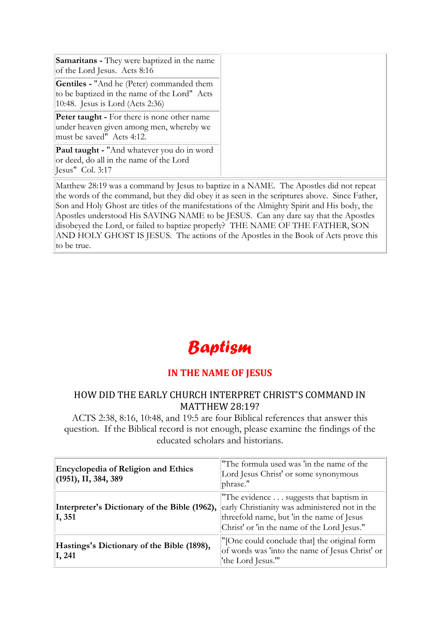| <b>Samaritans</b> - They were baptized in the name<br>of the Lord Jesus. Acts 8:16                                                   |
|--------------------------------------------------------------------------------------------------------------------------------------|
| <b>Gentiles - "And he (Peter) commanded them</b><br>to be baptized in the name of the Lord" Acts<br>10:48. Jesus is Lord (Acts 2:36) |
| <b>Peter taught - For there is none other name</b><br>under heaven given among men, whereby we<br>must be saved" Acts 4:12.          |
| Paul taught - "And whatever you do in word<br>or deed, do all in the name of the Lord<br>Jesus" Col. 3:17                            |

Matthew 28:19 was a command by Jesus to baptize in a NAME. The Apostles did not repeat the words of the command, but they did obey it as seen in the scriptures above. Since Father, Son and Holy Ghost are titles of the manifestations of the Almighty Spirit and His body, the Apostles understood His SAVING NAME to be JESUS. Can any dare say that the Apostles disobeyed the Lord, or failed to baptize properly? THE NAME OF THE FATHER, SON AND HOLY GHOST IS JESUS. The actions of the Apostles in the Book of Acts prove this to be true.

# *Baptism*

#### **IN THE NAME OF JESUS**

#### HOW DID THE EARLY CHURCH INTERPRET CHRIST'S COMMAND IN MATTHEW 28:19?

ACTS 2:38, 8:16, 10:48, and 19:5 are four Biblical references that answer this question. If the Biblical record is not enough, please examine the findings of the educated scholars and historians.

| <b>Encyclopedia of Religion and Ethics</b><br>$(1951),$ II, 384, 389 | "The formula used was 'in the name of the<br>Lord Jesus Christ' or some synonymous<br>phrase."                                                                                       |
|----------------------------------------------------------------------|--------------------------------------------------------------------------------------------------------------------------------------------------------------------------------------|
| Interpreter's Dictionary of the Bible (1962),<br>I, 351              | "The evidence suggests that baptism in<br>early Christianity was administered not in the<br>threefold name, but 'in the name of Jesus<br>Christ' or 'in the name of the Lord Jesus." |
| Hastings's Dictionary of the Bible (1898),<br>I, 241                 | "[One could conclude that] the original form<br>of words was 'into the name of Jesus Christ' or<br>'the Lord Jesus.""                                                                |